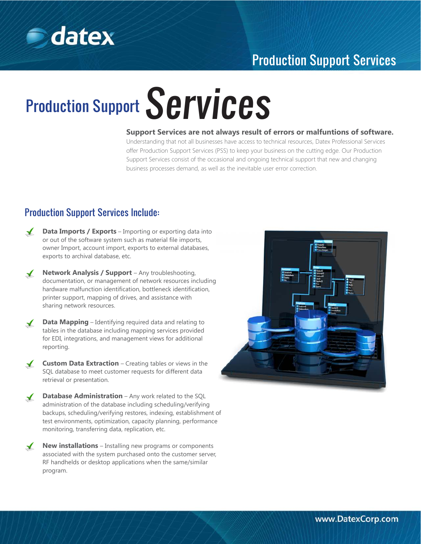

## Production Support Services

# Production Support Services

**Support Services are not always result of errors or malfuntions of software.**

Understanding that not all businesses have access to technical resources, Datex Professional Services offer Production Support Services (PSS) to keep your business on the cutting edge. Our Production Support Services consist of the occasional and ongoing technical support that new and changing business processes demand, as well as the inevitable user error correction.

### Production Support Services Include:

- $\sqrt{2}$ **Data Imports / Exports** – Importing or exporting data into or out of the software system such as material file imports, owner Import, account import, exports to external databases, exports to archival database, etc.
- **Network Analysis / Support** Any troubleshooting,  $\sqrt{ }$ documentation, or management of network resources including hardware malfunction identification, bottleneck identification, printer support, mapping of drives, and assistance with sharing network resources.
- **Data Mapping** Identifying required data and relating to  $\checkmark$ tables in the database including mapping services provided for EDI, integrations, and management views for additional reporting.
- **Custom Data Extraction** Creating tables or views in the  $\sqrt{ }$ SQL database to meet customer requests for different data retrieval or presentation.
- **Database Administration** Any work related to the SQL  $\mathcal{L}$ administration of the database including scheduling/verifying backups, scheduling/verifying restores, indexing, establishment of test environments, optimization, capacity planning, performance monitoring, transferring data, replication, etc.
- $\sqrt{ }$ **New installations** – Installing new programs or components associated with the system purchased onto the customer server, RF handhelds or desktop applications when the same/similar program.